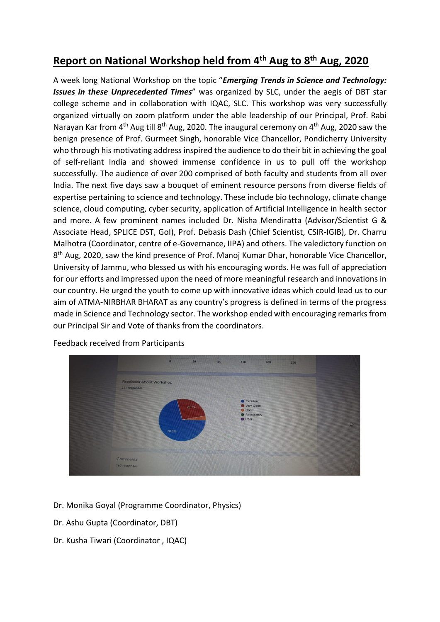## **Report on National Workshop held from 4th Aug to 8th Aug, 2020**

A week long National Workshop on the topic "*Emerging Trends in Science and Technology: Issues in these Unprecedented Times*" was organized by SLC, under the aegis of DBT star college scheme and in collaboration with IQAC, SLC. This workshop was very successfully organized virtually on zoom platform under the able leadership of our Principal, Prof. Rabi Narayan Kar from  $4<sup>th</sup>$  Aug till  $8<sup>th</sup>$  Aug, 2020. The inaugural ceremony on  $4<sup>th</sup>$  Aug, 2020 saw the benign presence of Prof. Gurmeet Singh, honorable Vice Chancellor, Pondicherry University who through his motivating address inspired the audience to do their bit in achieving the goal of self-reliant India and showed immense confidence in us to pull off the workshop successfully. The audience of over 200 comprised of both faculty and students from all over India. The next five days saw a bouquet of eminent resource persons from diverse fields of expertise pertaining to science and technology. These include bio technology, climate change science, cloud computing, cyber security, application of Artificial Intelligence in health sector and more. A few prominent names included Dr. Nisha Mendiratta (Advisor/Scientist G & Associate Head, SPLICE DST, GoI), Prof. Debasis Dash (Chief Scientist, CSIR-IGIB), Dr. Charru Malhotra (Coordinator, centre of e-Governance, IIPA) and others. The valedictory function on 8<sup>th</sup> Aug, 2020, saw the kind presence of Prof. Manoj Kumar Dhar, honorable Vice Chancellor, University of Jammu, who blessed us with his encouraging words. He was full of appreciation for our efforts and impressed upon the need of more meaningful research and innovations in our country. He urged the youth to come up with innovative ideas which could lead us to our aim of ATMA-NIRBHAR BHARAT as any country's progress is defined in terms of the progress made in Science and Technology sector. The workshop ended with encouraging remarks from our Principal Sir and Vote of thanks from the coordinators.



Feedback received from Participants

- Dr. Monika Goyal (Programme Coordinator, Physics)
- Dr. Ashu Gupta (Coordinator, DBT)
- Dr. Kusha Tiwari (Coordinator , IQAC)